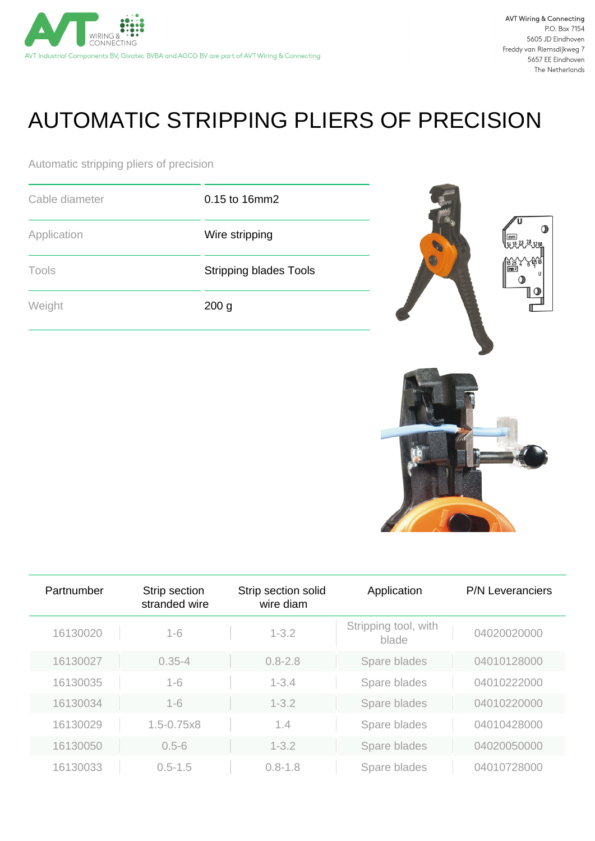

## AUTOMATIC STRIPPING PLIERS OF PRECISION

Automatic stripping pliers of precision

| Cable diameter | 0.15 to 16mm2                 |  |
|----------------|-------------------------------|--|
| Application    | Wire stripping                |  |
| Tools          | <b>Stripping blades Tools</b> |  |
| Weight         | 200 <sub>g</sub>              |  |



| Partnumber | Strip section<br>stranded wire | Strip section solid<br>wire diam | Application                   | <b>P/N Leveranciers</b> |
|------------|--------------------------------|----------------------------------|-------------------------------|-------------------------|
| 16130020   | $1 - 6$                        | $1 - 3.2$                        | Stripping tool, with<br>blade | 04020020000             |
| 16130027   | $0.35 - 4$                     | $0.8 - 2.8$                      | Spare blades                  | 04010128000             |
| 16130035   | $1 - 6$                        | $1 - 3.4$                        | Spare blades                  | 04010222000             |
| 16130034   | $1 - 6$                        | $1 - 3.2$                        | Spare blades                  | 04010220000             |
| 16130029   | $1.5 - 0.75x8$                 | 1.4                              | Spare blades                  | 04010428000             |
| 16130050   | $0.5 - 6$                      | $1 - 3.2$                        | Spare blades                  | 04020050000             |
| 16130033   | $0.5 - 1.5$                    | $0.8 - 1.8$                      | Spare blades                  | 04010728000             |